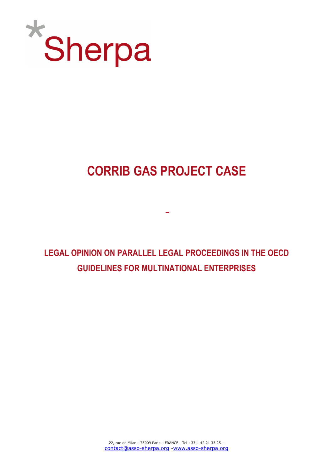

# CORRIB GAS PROJECT CASE

–

LEGAL OPINION ON PARALLEL LEGAL PROCEEDINGS IN THE OECD GUIDELINES FOR MULTINATIONAL ENTERPRISES

> 22, rue de Milan - 75009 Paris – FRANCE - Tel : 33-1 42 21 33 25 – contact@asso-sherpa.org -www.asso-sherpa.org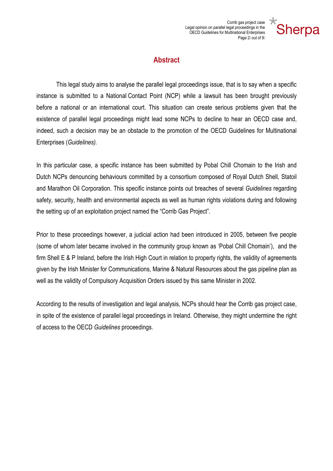

## **Abstract**

This legal study aims to analyse the parallel legal proceedings issue, that is to say when a specific instance is submitted to a National Contact Point (NCP) while a lawsuit has been brought previously before a national or an international court. This situation can create serious problems given that the existence of parallel legal proceedings might lead some NCPs to decline to hear an OECD case and, indeed, such a decision may be an obstacle to the promotion of the OECD Guidelines for Multinational Enterprises (Guidelines).

In this particular case, a specific instance has been submitted by Pobal Chill Chomain to the Irish and Dutch NCPs denouncing behaviours committed by a consortium composed of Royal Dutch Shell, Statoil and Marathon Oil Corporation. This specific instance points out breaches of several Guidelines regarding safety, security, health and environmental aspects as well as human rights violations during and following the setting up of an exploitation project named the "Corrib Gas Project".

Prior to these proceedings however, a judicial action had been introduced in 2005, between five people (some of whom later became involved in the community group known as 'Pobal Chill Chomain'), and the firm Shell E & P Ireland, before the Irish High Court in relation to property rights, the validity of agreements given by the Irish Minister for Communications, Marine & Natural Resources about the gas pipeline plan as well as the validity of Compulsory Acquisition Orders issued by this same Minister in 2002.

According to the results of investigation and legal analysis, NCPs should hear the Corrib gas project case, in spite of the existence of parallel legal proceedings in Ireland. Otherwise, they might undermine the right of access to the OECD Guidelines proceedings.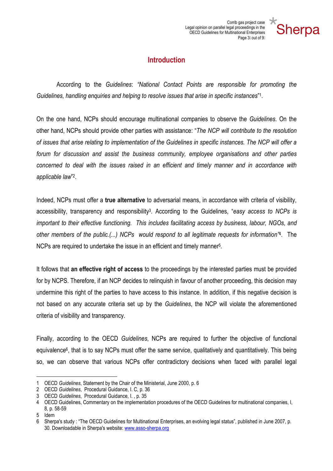

## **Introduction**

 According to the Guidelines: "National Contact Points are responsible for promoting the Guidelines, handling enquiries and helping to resolve issues that arise in specific instances"<sup>1</sup>.

On the one hand, NCPs should encourage multinational companies to observe the Guidelines. On the other hand, NCPs should provide other parties with assistance: "The NCP will contribute to the resolution of issues that arise relating to implementation of the Guidelines in specific instances. The NCP will offer a forum for discussion and assist the business community, employee organisations and other parties concerned to deal with the issues raised in an efficient and timely manner and in accordance with applicable law" 2 .

Indeed, NCPs must offer a true alternative to adversarial means, in accordance with criteria of visibility, accessibility, transparency and responsibility<sup>3</sup>. According to the Guidelines, "easy access to NCPs is important to their effective functioning. This includes facilitating access by business, labour, NGOs, and other members of the public.(...) NCPs would respond to all legitimate requests for information<sup>74</sup>. The NCPs are required to undertake the issue in an efficient and timely manner<sup>5</sup>.

It follows that an effective right of access to the proceedings by the interested parties must be provided for by NCPS. Therefore, if an NCP decides to relinquish in favour of another proceeding, this decision may undermine this right of the parties to have access to this instance. In addition, if this negative decision is not based on any accurate criteria set up by the Guidelines, the NCP will violate the aforementioned criteria of visibility and transparency.

Finally, according to the OECD Guidelines, NCPs are required to further the objective of functional equivalence<sup>6</sup>, that is to say NCPs must offer the same service, qualitatively and quantitatively. This being so, we can observe that various NCPs offer contradictory decisions when faced with parallel legal

 $\overline{a}$ 

<sup>1</sup> OECD Guidelines, Statement by the Chair of the Ministerial, June 2000, p. 6

<sup>2</sup> OECD Guidelines, Procedural Guidance, I. C, p. 36

<sup>3</sup> OECD Guidelines, Procedural Guidance, I. , p. 35

<sup>4</sup> OECD Guidelines, Commentary on the implementation procedures of the OECD Guidelines for multinational companies, I, 8, p. 58-59

<sup>5</sup> Idem

<sup>6</sup> Sherpa's study : "The OECD Guidelines for Multinational Enterprises, an evolving legal status", published in June 2007, p. 30. Downloadable in Sherpa's website: www.asso-sherpa.org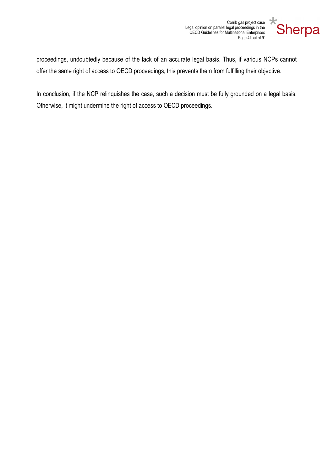Corrib gas project case Legal opinion on parallel legal proceedings in the OECD Guidelines for Multinational Enterprises Page 4 out of 9



proceedings, undoubtedly because of the lack of an accurate legal basis. Thus, if various NCPs cannot offer the same right of access to OECD proceedings, this prevents them from fulfilling their objective.

In conclusion, if the NCP relinquishes the case, such a decision must be fully grounded on a legal basis. Otherwise, it might undermine the right of access to OECD proceedings.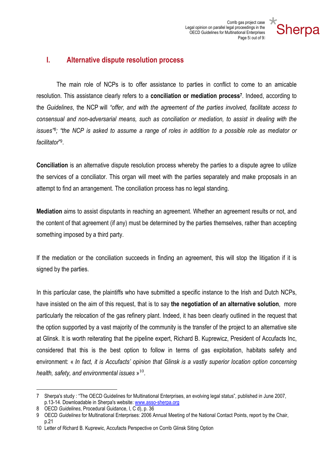

#### I. Alternative dispute resolution process

The main role of NCPs is to offer assistance to parties in conflict to come to an amicable resolution. This assistance clearly refers to a conciliation or mediation process<sup>7</sup>. Indeed, according to the Guidelines, the NCP will "offer, and with the agreement of the parties involved, facilitate access to consensual and non-adversarial means, such as conciliation or mediation, to assist in dealing with the issues"<sup>8</sup> ; "the NCP is asked to assume a range of roles in addition to a possible role as mediator or facilitator" 9 .

Conciliation is an alternative dispute resolution process whereby the parties to a dispute agree to utilize the services of a conciliator. This organ will meet with the parties separately and make proposals in an attempt to find an arrangement. The conciliation process has no legal standing.

Mediation aims to assist disputants in reaching an agreement. Whether an agreement results or not, and the content of that agreement (if any) must be determined by the parties themselves, rather than accepting something imposed by a third party.

If the mediation or the conciliation succeeds in finding an agreement, this will stop the litigation if it is signed by the parties.

In this particular case, the plaintiffs who have submitted a specific instance to the Irish and Dutch NCPs, have insisted on the aim of this request, that is to say the negotiation of an alternative solution, more particularly the relocation of the gas refinery plant. Indeed, it has been clearly outlined in the request that the option supported by a vast majority of the community is the transfer of the project to an alternative site at Glinsk. It is worth reiterating that the pipeline expert, Richard B. Kuprewicz, President of Accufacts Inc, considered that this is the best option to follow in terms of gas exploitation, habitats safety and environment: « In fact, it is Accufacts' opinion that Glinsk is a vastly superior location option concerning health, safety, and environmental issues  $v^{10}$ .

 $\overline{a}$ 

<sup>7</sup> Sherpa's study : "The OECD Guidelines for Multinational Enterprises, an evolving legal status", published in June 2007, p.13-14. Downloadable in Sherpa's website: www.asso-sherpa.org

<sup>8</sup> OECD Guidelines, Procedural Guidance, I, C d), p. 36

<sup>9</sup> OECD Guidelines for Multinational Enterprises: 2006 Annual Meeting of the National Contact Points, report by the Chair, p.21

<sup>10</sup> Letter of Richard B. Kuprewic, Accufacts Perspective on Corrib Glinsk Siting Option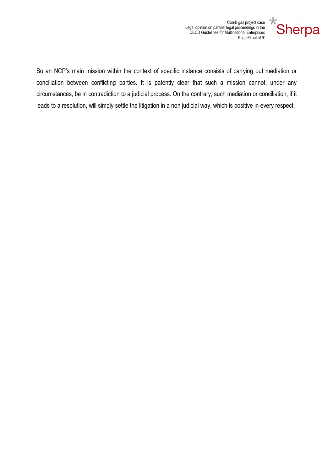

Corrib gas project case Legal opinion on parallel legal proceedings in the OECD Guidelines for Multinational Enterprises Page 6 out of 9

So an NCP's main mission within the context of specific instance consists of carrying out mediation or conciliation between conflicting parties. It is patently clear that such a mission cannot, under any circumstances, be in contradiction to a judicial process. On the contrary, such mediation or conciliation, if it leads to a resolution, will simply settle the litigation in a non judicial way, which is positive in every respect.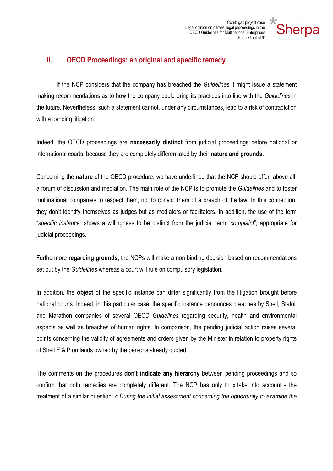

#### II. OECD Proceedings: an original and specific remedy

If the NCP considers that the company has breached the *Guidelines* it might issue a statement making recommendations as to how the company could bring its practices into line with the Guidelines in the future. Nevertheless, such a statement cannot, under any circumstances, lead to a risk of contradiction with a pending litigation.

Indeed, the OECD proceedings are necessarily distinct from judicial proceedings before national or international courts, because they are completely differentiated by their nature and grounds.

Concerning the nature of the OECD procedure, we have underlined that the NCP should offer, above all, a forum of discussion and mediation. The main role of the NCP is to promote the Guidelines and to foster multinational companies to respect them, not to convict them of a breach of the law. In this connection, they don't identify themselves as judges but as mediators or facilitators. In addition, the use of the term "specific instance" shows a willingness to be distinct from the judicial term "complaint", appropriate for judicial proceedings.

Furthermore regarding grounds, the NCPs will make a non binding decision based on recommendations set out by the Guidelines whereas a court will rule on compulsory legislation.

In addition, the object of the specific instance can differ significantly from the litigation brought before national courts. Indeed, in this particular case, the specific instance denounces breaches by Shell, Statoil and Marathon companies of several OECD Guidelines regarding security, health and environmental aspects as well as breaches of human rights. In comparison, the pending judicial action raises several points concerning the validity of agreements and orders given by the Minister in relation to property rights of Shell E & P on lands owned by the persons already quoted.

The comments on the procedures don't indicate any hierarchy between pending proceedings and so confirm that both remedies are completely different. The NCP has only to « take into account » the treatment of a similar question: « During the initial assessment concerning the opportunity to examine the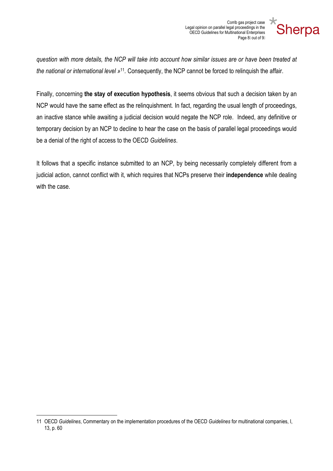Corrib gas project case Legal opinion on parallel legal proceedings in the OECD Guidelines for Multinational Enterprises Page 8 out of 9



question with more details, the NCP will take into account how similar issues are or have been treated at the national or international level »<sup>11</sup>. Consequently, the NCP cannot be forced to relinquish the affair.

Finally, concerning the stay of execution hypothesis, it seems obvious that such a decision taken by an NCP would have the same effect as the relinquishment. In fact, regarding the usual length of proceedings, an inactive stance while awaiting a judicial decision would negate the NCP role. Indeed, any definitive or temporary decision by an NCP to decline to hear the case on the basis of parallel legal proceedings would be a denial of the right of access to the OECD Guidelines.

It follows that a specific instance submitted to an NCP, by being necessarily completely different from a judicial action, cannot conflict with it, which requires that NCPs preserve their **independence** while dealing with the case.

 $\overline{a}$ 

<sup>11</sup> OECD Guidelines, Commentary on the implementation procedures of the OECD Guidelines for multinational companies, I, 13, p. 60